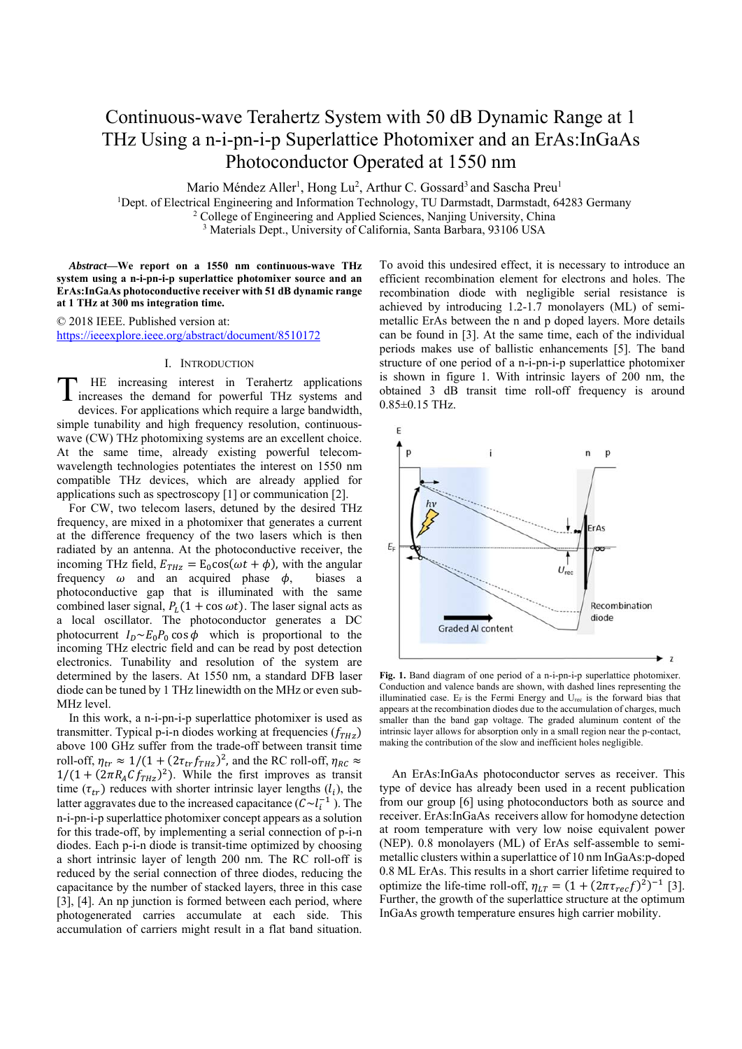# Continuous-wave Terahertz System with 50 dB Dynamic Range at 1 THz Using a n-i-pn-i-p Superlattice Photomixer and an ErAs:InGaAs Photoconductor Operated at 1550 nm

Mario Méndez Aller<sup>1</sup>, Hong Lu<sup>2</sup>, Arthur C. Gossard<sup>3</sup> and Sascha Preu<sup>1</sup>

<sup>1</sup>Dept. of Electrical Engineering and Information Technology, TU Darmstadt, Darmstadt, 64283 Germany

<sup>2</sup> College of Engineering and Applied Sciences, Nanjing University, China

<sup>3</sup> Materials Dept., University of California, Santa Barbara, 93106 USA

*Abstract***—We report on a 1550 nm continuous-wave THz system using a n-i-pn-i-p superlattice photomixer source and an ErAs:InGaAs photoconductive receiver with 51 dB dynamic range at 1 THz at 300 ms integration time.** 

© 2018 IEEE. Published version at: https://ieeexplore.ieee.org/abstract/document/8510172

## I. INTRODUCTION

HE increasing interest in Terahertz applications THE increasing interest in Terahertz applications<br>increases the demand for powerful THz systems and devices. For applications which require a large bandwidth, simple tunability and high frequency resolution, continuouswave (CW) THz photomixing systems are an excellent choice. At the same time, already existing powerful telecomwavelength technologies potentiates the interest on 1550 nm compatible THz devices, which are already applied for applications such as spectroscopy [1] or communication [2].

For CW, two telecom lasers, detuned by the desired THz frequency, are mixed in a photomixer that generates a current at the difference frequency of the two lasers which is then radiated by an antenna. At the photoconductive receiver, the incoming THz field,  $E_{THz} = E_0 \cos(\omega t + \phi)$ , with the angular frequency  $\omega$  and an acquired phase  $\phi$ , biases a photoconductive gap that is illuminated with the same combined laser signal,  $P_L(1 + \cos \omega t)$ . The laser signal acts as a local oscillator. The photoconductor generates a DC photocurrent  $I_D \sim E_0 P_0 \cos \phi$  which is proportional to the incoming THz electric field and can be read by post detection electronics. Tunability and resolution of the system are determined by the lasers. At 1550 nm, a standard DFB laser diode can be tuned by 1 THz linewidth on the MHz or even sub-MHz level.

In this work, a n-i-pn-i-p superlattice photomixer is used as transmitter. Typical p-i-n diodes working at frequencies  $(f<sub>THZ</sub>)$ above 100 GHz suffer from the trade-off between transit time roll-off,  $\eta_{tr} \approx 1/(1 + (2\tau_{tr} f_{THz})^2)$ , and the RC roll-off,  $\eta_{RC} \approx$  $1/(1 + (2\pi R_A C f_{THz})^2)$ . While the first improves as transit time  $(\tau_{tr})$  reduces with shorter intrinsic layer lengths  $(l_i)$ , the latter aggravates due to the increased capacitance  $(C \sim l_i^{-1})$ . The n-i-pn-i-p superlattice photomixer concept appears as a solution for this trade-off, by implementing a serial connection of p-i-n diodes. Each p-i-n diode is transit-time optimized by choosing a short intrinsic layer of length 200 nm. The RC roll-off is reduced by the serial connection of three diodes, reducing the capacitance by the number of stacked layers, three in this case [3], [4]. An np junction is formed between each period, where photogenerated carries accumulate at each side. This accumulation of carriers might result in a flat band situation.

To avoid this undesired effect, it is necessary to introduce an efficient recombination element for electrons and holes. The recombination diode with negligible serial resistance is achieved by introducing 1.2-1.7 monolayers (ML) of semimetallic ErAs between the n and p doped layers. More details can be found in [3]. At the same time, each of the individual periods makes use of ballistic enhancements [5]. The band structure of one period of a n-i-pn-i-p superlattice photomixer is shown in figure 1. With intrinsic layers of 200 nm, the obtained 3 dB transit time roll-off frequency is around 0.85±0.15 THz.



**Fig. 1.** Band diagram of one period of a n-i-pn-i-p superlattice photomixer. Conduction and valence bands are shown, with dashed lines representing the illuminatied case.  $E_F$  is the Fermi Energy and  $U_{rec}$  is the forward bias that appears at the recombination diodes due to the accumulation of charges, much smaller than the band gap voltage. The graded aluminum content of the intrinsic layer allows for absorption only in a small region near the p-contact, making the contribution of the slow and inefficient holes negligible.

An ErAs:InGaAs photoconductor serves as receiver. This type of device has already been used in a recent publication from our group [6] using photoconductors both as source and receiver. ErAs:InGaAs receivers allow for homodyne detection at room temperature with very low noise equivalent power (NEP). 0.8 monolayers (ML) of ErAs self-assemble to semimetallic clusters within a superlattice of 10 nm InGaAs:p-doped 0.8 ML ErAs. This results in a short carrier lifetime required to optimize the life-time roll-off,  $\eta_{LT} = (1 + (2\pi \tau_{rec} f)^2)^{-1}$  [3]. Further, the growth of the superlattice structure at the optimum InGaAs growth temperature ensures high carrier mobility.